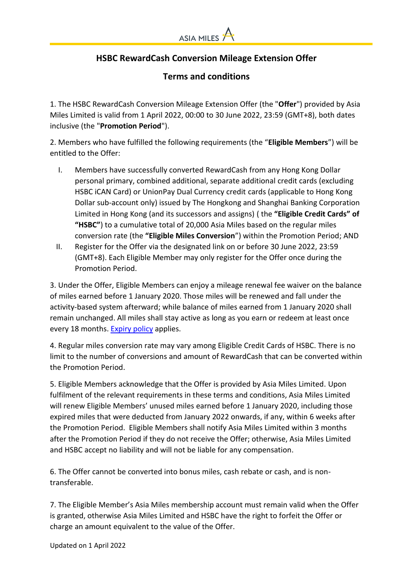

## **HSBC RewardCash Conversion Mileage Extension Offer**

**Terms and conditions**

1. The HSBC RewardCash Conversion Mileage Extension Offer (the "**Offer**") provided by Asia Miles Limited is valid from 1 April 2022, 00:00 to 30 June 2022, 23:59 (GMT+8), both dates inclusive (the "**Promotion Period**").

2. Members who have fulfilled the following requirements (the "**Eligible Members**") will be entitled to the Offer:

- I. Members have successfully converted RewardCash from any Hong Kong Dollar personal primary, combined additional, separate additional credit cards (excluding HSBC iCAN Card) or UnionPay Dual Currency credit cards (applicable to Hong Kong Dollar sub-account only) issued by The Hongkong and Shanghai Banking Corporation Limited in Hong Kong (and its successors and assigns) ( the **"Eligible Credit Cards" of "HSBC"**) to a cumulative total of 20,000 Asia Miles based on the regular miles conversion rate (the **"Eligible Miles Conversion**") within the Promotion Period; AND
- II. Register for the Offer via the designated link on or before 30 June 2022, 23:59 (GMT+8). Each Eligible Member may only register for the Offer once during the Promotion Period.

3. Under the Offer, Eligible Members can enjoy a mileage renewal fee waiver on the balance of miles earned before 1 January 2020. Those miles will be renewed and fall under the activity-based system afterward; while balance of miles earned from 1 January 2020 shall remain unchanged. All miles shall stay active as long as you earn or redeem at least once every 18 months[. Expiry policy](https://www.asiamiles.com/en/stayactive.html) applies.

4. Regular miles conversion rate may vary among Eligible Credit Cards of HSBC. There is no limit to the number of conversions and amount of RewardCash that can be converted within the Promotion Period.

5. Eligible Members acknowledge that the Offer is provided by Asia Miles Limited. Upon fulfilment of the relevant requirements in these terms and conditions, Asia Miles Limited will renew Eligible Members' unused miles earned before 1 January 2020, including those expired miles that were deducted from January 2022 onwards, if any, within 6 weeks after the Promotion Period. Eligible Members shall notify Asia Miles Limited within 3 months after the Promotion Period if they do not receive the Offer; otherwise, Asia Miles Limited and HSBC accept no liability and will not be liable for any compensation.

6. The Offer cannot be converted into bonus miles, cash rebate or cash, and is nontransferable.

7. The Eligible Member's Asia Miles membership account must remain valid when the Offer is granted, otherwise Asia Miles Limited and HSBC have the right to forfeit the Offer or charge an amount equivalent to the value of the Offer.